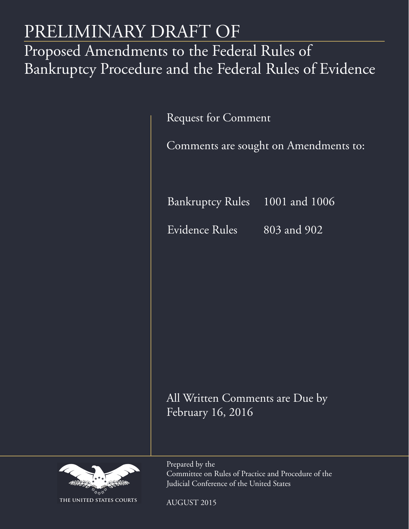# PRELIMINARY DRAFT OF

Proposed Amendments to the Federal Rules of Bankruptcy Procedure and the Federal Rules of Evidence

Request for Comment

Comments are sought on Amendments to:

Bankruptcy Rules 1001 and 1006

Evidence Rules 803 and 902

All Written Comments are Due by February 16, 2016



Prepared by the Committee on Rules of Practice and Procedure of the Judicial Conference of the United States

AUGUST 2015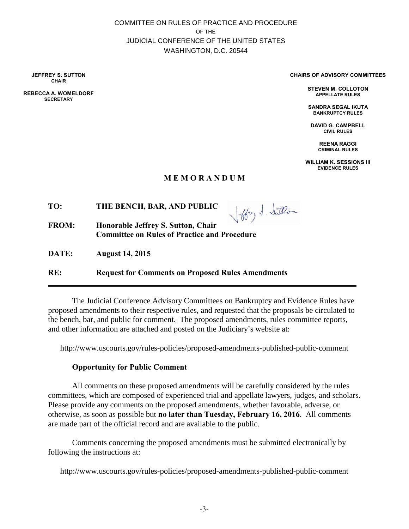COMMITTEE ON RULES OF PRACTICE AND PROCEDURE OF THE JUDICIAL CONFERENCE OF THE UNITED STATES WASHINGTON, D.C. 20544

**JEFFREY S. SUTTON CHAIR**

**REBECCA A. WOMELDORF SECRETARY**

#### **CHAIRS OF ADVISORY COMMITTEES**

**STEVEN M. COLLOTON APPELLATE RULES**

**SANDRA SEGAL IKUTA BANKRUPTCY RULES**

**DAVID G. CAMPBELL CIVIL RULES**

> **REENA RAGGI CRIMINAL RULES**

**WILLIAM K. SESSIONS III EVIDENCE RULES**

#### **M E M O R A N D U M**

| 10:          | THE BENCH, BAR, AND PUBLIC<br>ffry & Sutton                                               |
|--------------|-------------------------------------------------------------------------------------------|
| <b>FROM:</b> | Honorable Jeffrey S. Sutton, Chair<br><b>Committee on Rules of Practice and Procedure</b> |
| <b>DATE:</b> | <b>August 14, 2015</b>                                                                    |
| RE:          | <b>Request for Comments on Proposed Rules Amendments</b>                                  |

The Judicial Conference Advisory Committees on Bankruptcy and Evidence Rules have proposed amendments to their respective rules, and requested that the proposals be circulated to the bench, bar, and public for comment. The proposed amendments, rules committee reports, and other information are attached and posted on the Judiciary's website at:

http://www.uscourts.gov/rules-policies/proposed-amendments-published-public-comment

### **Opportunity for Public Comment**

**TO: THE BENCH, BAR, AND PUBLIC**

All comments on these proposed amendments will be carefully considered by the rules committees, which are composed of experienced trial and appellate lawyers, judges, and scholars. Please provide any comments on the proposed amendments, whether favorable, adverse, or otherwise, as soon as possible but **no later than Tuesday, February 16, 2016**. All comments are made part of the official record and are available to the public.

Comments concerning the proposed amendments must be submitted electronically by following the instructions at:

http://www.uscourts.gov/rules-policies/proposed-amendments-published-public-comment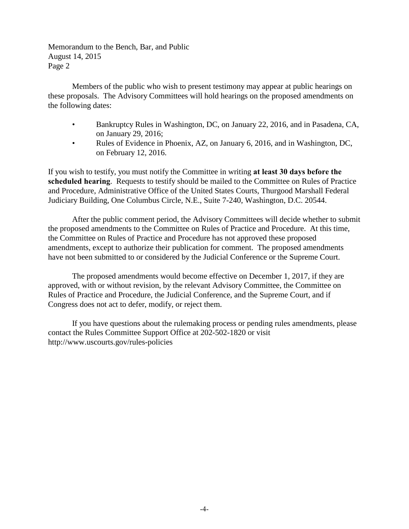Memorandum to the Bench, Bar, and Public August 14, 2015 Page 2

Members of the public who wish to present testimony may appear at public hearings on these proposals. The Advisory Committees will hold hearings on the proposed amendments on the following dates:

- Bankruptcy Rules in Washington, DC, on January 22, 2016, and in Pasadena, CA, on January 29, 2016;
- Rules of Evidence in Phoenix, AZ, on January 6, 2016, and in Washington, DC, on February 12, 2016.

If you wish to testify, you must notify the Committee in writing **at least 30 days before the scheduled hearing**. Requests to testify should be mailed to the Committee on Rules of Practice and Procedure, Administrative Office of the United States Courts, Thurgood Marshall Federal Judiciary Building, One Columbus Circle, N.E., Suite 7-240, Washington, D.C. 20544.

After the public comment period, the Advisory Committees will decide whether to submit the proposed amendments to the Committee on Rules of Practice and Procedure. At this time, the Committee on Rules of Practice and Procedure has not approved these proposed amendments, except to authorize their publication for comment. The proposed amendments have not been submitted to or considered by the Judicial Conference or the Supreme Court.

The proposed amendments would become effective on December 1, 2017, if they are approved, with or without revision, by the relevant Advisory Committee, the Committee on Rules of Practice and Procedure, the Judicial Conference, and the Supreme Court, and if Congress does not act to defer, modify, or reject them.

If you have questions about the rulemaking process or pending rules amendments, please contact the Rules Committee Support Office at 202-502-1820 or visit http://www.uscourts.gov/rules-policies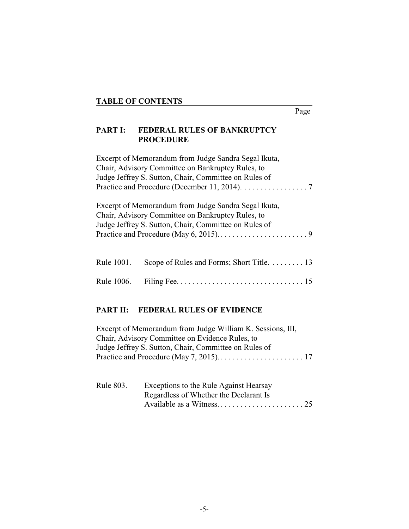Page

## **PART I: FEDERAL RULES OF BANKRUPTCY PROCEDURE**

| Excerpt of Memorandum from Judge Sandra Segal Ikuta,                                                                                                               |                                                       |  |
|--------------------------------------------------------------------------------------------------------------------------------------------------------------------|-------------------------------------------------------|--|
| Chair, Advisory Committee on Bankruptcy Rules, to                                                                                                                  |                                                       |  |
|                                                                                                                                                                    | Judge Jeffrey S. Sutton, Chair, Committee on Rules of |  |
|                                                                                                                                                                    | Practice and Procedure (December 11, 2014). 7         |  |
| Excerpt of Memorandum from Judge Sandra Segal Ikuta,<br>Chair, Advisory Committee on Bankruptcy Rules, to<br>Judge Jeffrey S. Sutton, Chair, Committee on Rules of |                                                       |  |
| Rule 1001.                                                                                                                                                         | Scope of Rules and Forms; Short Title. 13             |  |
| Rule 1006.                                                                                                                                                         |                                                       |  |

# **PART II: FEDERAL RULES OF EVIDENCE**

| Excerpt of Memorandum from Judge William K. Sessions, III, |  |
|------------------------------------------------------------|--|
| Chair, Advisory Committee on Evidence Rules, to            |  |
| Judge Jeffrey S. Sutton, Chair, Committee on Rules of      |  |
|                                                            |  |

| Rule 803. | Exceptions to the Rule Against Hearsay- |  |
|-----------|-----------------------------------------|--|
|           | Regardless of Whether the Declarant Is  |  |
|           |                                         |  |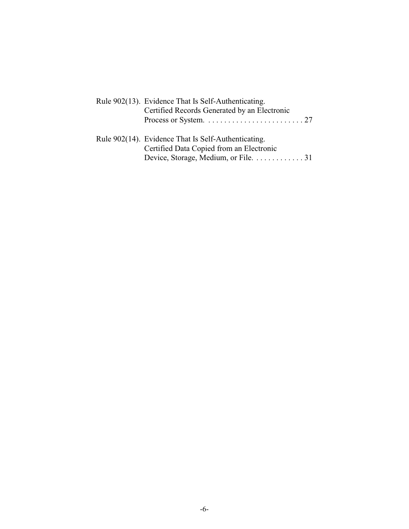| Rule 902(13). Evidence That Is Self-Authenticating.<br>Certified Records Generated by an Electronic                                     |
|-----------------------------------------------------------------------------------------------------------------------------------------|
| Rule 902(14). Evidence That Is Self-Authenticating.<br>Certified Data Copied from an Electronic<br>Device, Storage, Medium, or File. 31 |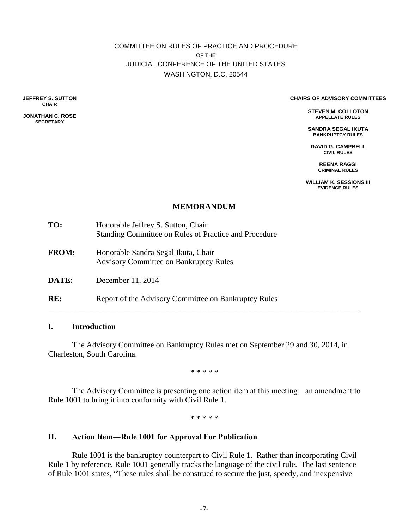COMMITTEE ON RULES OF PRACTICE AND PROCEDURE OF THE JUDICIAL CONFERENCE OF THE UNITED STATES WASHINGTON, D.C. 20544

**CHAIRS OF ADVISORY COMMITTEES**

**STEVEN M. COLLOTON APPELLATE RULES**

**SANDRA SEGAL IKUTA BANKRUPTCY RULES**

**DAVID G. CAMPBELL CIVIL RULES**

> **REENA RAGGI CRIMINAL RULES**

**WILLIAM K. SESSIONS III EVIDENCE RULES**

#### **MEMORANDUM**

| TO:          | Honorable Jeffrey S. Sutton, Chair<br>Standing Committee on Rules of Practice and Procedure |
|--------------|---------------------------------------------------------------------------------------------|
| <b>FROM:</b> | Honorable Sandra Segal Ikuta, Chair<br><b>Advisory Committee on Bankruptcy Rules</b>        |
| DATE:        | December 11, 2014                                                                           |
| RE:          | Report of the Advisory Committee on Bankruptcy Rules                                        |

#### **I. Introduction**

<span id="page-6-0"></span>**JEFFREY S. SUTTON CHAIR JONATHAN C. ROSE SECRETARY**

> The Advisory Committee on Bankruptcy Rules met on September 29 and 30, 2014, in Charleston, South Carolina.

> > \* \* \* \* \*

The Advisory Committee is presenting one action item at this meeting―an amendment to Rule 1001 to bring it into conformity with Civil Rule 1.

\* \* \* \* \*

## **II. Action Item―Rule 1001 for Approval For Publication**

Rule 1001 is the bankruptcy counterpart to Civil Rule 1. Rather than incorporating Civil Rule 1 by reference, Rule 1001 generally tracks the language of the civil rule. The last sentence of Rule 1001 states, "These rules shall be construed to secure the just, speedy, and inexpensive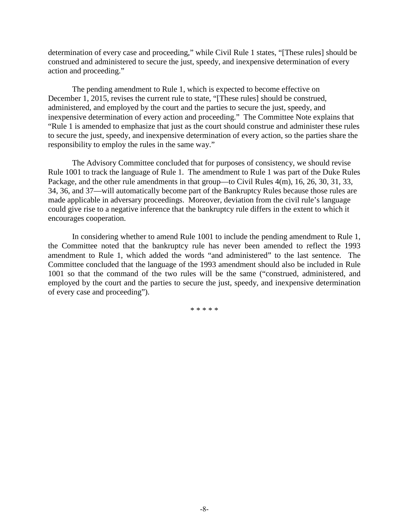determination of every case and proceeding," while Civil Rule 1 states, "[These rules] should be construed and administered to secure the just, speedy, and inexpensive determination of every action and proceeding."

The pending amendment to Rule 1, which is expected to become effective on December 1, 2015, revises the current rule to state, "[These rules] should be construed, administered, and employed by the court and the parties to secure the just, speedy, and inexpensive determination of every action and proceeding." The Committee Note explains that "Rule 1 is amended to emphasize that just as the court should construe and administer these rules to secure the just, speedy, and inexpensive determination of every action, so the parties share the responsibility to employ the rules in the same way."

 The Advisory Committee concluded that for purposes of consistency, we should revise Rule 1001 to track the language of Rule 1. The amendment to Rule 1 was part of the Duke Rules Package, and the other rule amendments in that group—to Civil Rules 4(m), 16, 26, 30, 31, 33, 34, 36, and 37—will automatically become part of the Bankruptcy Rules because those rules are made applicable in adversary proceedings. Moreover, deviation from the civil rule's language could give rise to a negative inference that the bankruptcy rule differs in the extent to which it encourages cooperation.

In considering whether to amend Rule 1001 to include the pending amendment to Rule 1, the Committee noted that the bankruptcy rule has never been amended to reflect the 1993 amendment to Rule 1, which added the words "and administered" to the last sentence. The Committee concluded that the language of the 1993 amendment should also be included in Rule 1001 so that the command of the two rules will be the same ("construed, administered, and employed by the court and the parties to secure the just, speedy, and inexpensive determination of every case and proceeding").

\* \* \* \* \*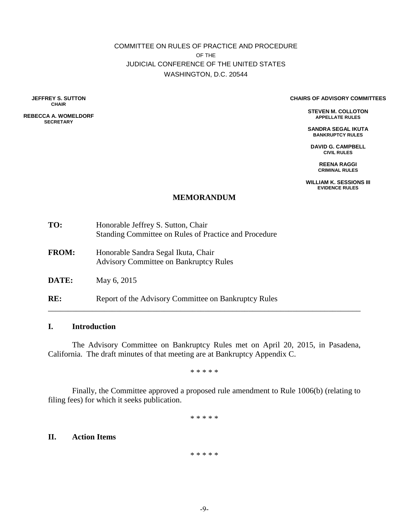COMMITTEE ON RULES OF PRACTICE AND PROCEDURE OF THE JUDICIAL CONFERENCE OF THE UNITED STATES WASHINGTON, D.C. 20544

#### **CHAIRS OF ADVISORY COMMITTEES**

**STEVEN M. COLLOTON APPELLATE RULES**

**SANDRA SEGAL IKUTA BANKRUPTCY RULES**

**DAVID G. CAMPBELL CIVIL RULES**

> **REENA RAGGI CRIMINAL RULES**

**WILLIAM K. SESSIONS III EVIDENCE RULES**

#### **MEMORANDUM**

| TO:          | Honorable Jeffrey S. Sutton, Chair<br>Standing Committee on Rules of Practice and Procedure |
|--------------|---------------------------------------------------------------------------------------------|
| <b>FROM:</b> | Honorable Sandra Segal Ikuta, Chair<br><b>Advisory Committee on Bankruptcy Rules</b>        |
| DATE:        | May 6, 2015                                                                                 |
| RE:          | Report of the Advisory Committee on Bankruptcy Rules                                        |

#### **I. Introduction**

The Advisory Committee on Bankruptcy Rules met on April 20, 2015, in Pasadena, California. The draft minutes of that meeting are at Bankruptcy Appendix C.

\* \* \* \* \*

 Finally, the Committee approved a proposed rule amendment to Rule 1006(b) (relating to filing fees) for which it seeks publication.

\* \* \* \* \*

#### **II. Action Items**

\* \* \* \* \*

<span id="page-8-0"></span>**JEFFREY S. SUTTON CHAIR**

**REBECCA A. WOMELDORF SECRETARY**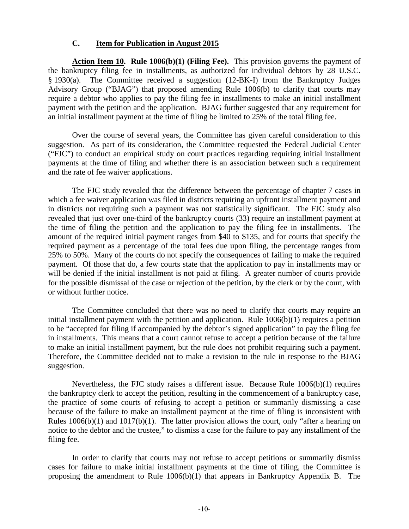#### **C. Item for Publication in August 2015**

**Action Item 10. Rule 1006(b)(1) (Filing Fee).** This provision governs the payment of the bankruptcy filing fee in installments, as authorized for individual debtors by 28 U.S.C. § 1930(a). The Committee received a suggestion (12-BK-I) from the Bankruptcy Judges Advisory Group ("BJAG") that proposed amending Rule 1006(b) to clarify that courts may require a debtor who applies to pay the filing fee in installments to make an initial installment payment with the petition and the application. BJAG further suggested that any requirement for an initial installment payment at the time of filing be limited to 25% of the total filing fee.

Over the course of several years, the Committee has given careful consideration to this suggestion. As part of its consideration, the Committee requested the Federal Judicial Center ("FJC") to conduct an empirical study on court practices regarding requiring initial installment payments at the time of filing and whether there is an association between such a requirement and the rate of fee waiver applications.

The FJC study revealed that the difference between the percentage of chapter 7 cases in which a fee waiver application was filed in districts requiring an upfront installment payment and in districts not requiring such a payment was not statistically significant. The FJC study also revealed that just over one-third of the bankruptcy courts (33) require an installment payment at the time of filing the petition and the application to pay the filing fee in installments. The amount of the required initial payment ranges from \$40 to \$135, and for courts that specify the required payment as a percentage of the total fees due upon filing, the percentage ranges from 25% to 50%. Many of the courts do not specify the consequences of failing to make the required payment. Of those that do, a few courts state that the application to pay in installments may or will be denied if the initial installment is not paid at filing. A greater number of courts provide for the possible dismissal of the case or rejection of the petition, by the clerk or by the court, with or without further notice.

The Committee concluded that there was no need to clarify that courts may require an initial installment payment with the petition and application. Rule 1006(b)(1) requires a petition to be "accepted for filing if accompanied by the debtor's signed application" to pay the filing fee in installments. This means that a court cannot refuse to accept a petition because of the failure to make an initial installment payment, but the rule does not prohibit requiring such a payment. Therefore, the Committee decided not to make a revision to the rule in response to the BJAG suggestion.

Nevertheless, the FJC study raises a different issue. Because Rule 1006(b)(1) requires the bankruptcy clerk to accept the petition, resulting in the commencement of a bankruptcy case, the practice of some courts of refusing to accept a petition or summarily dismissing a case because of the failure to make an installment payment at the time of filing is inconsistent with Rules  $1006(b)(1)$  and  $1017(b)(1)$ . The latter provision allows the court, only "after a hearing on notice to the debtor and the trustee," to dismiss a case for the failure to pay any installment of the filing fee.

In order to clarify that courts may not refuse to accept petitions or summarily dismiss cases for failure to make initial installment payments at the time of filing, the Committee is proposing the amendment to Rule 1006(b)(1) that appears in Bankruptcy Appendix B. The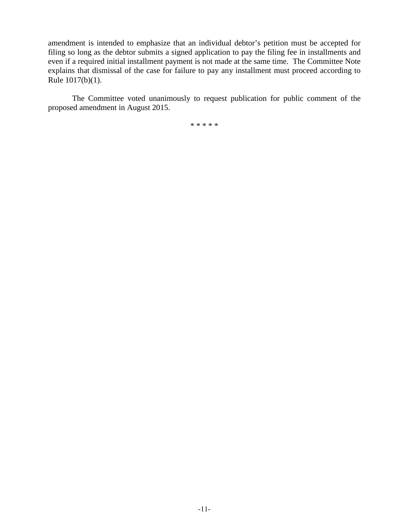amendment is intended to emphasize that an individual debtor's petition must be accepted for filing so long as the debtor submits a signed application to pay the filing fee in installments and even if a required initial installment payment is not made at the same time. The Committee Note explains that dismissal of the case for failure to pay any installment must proceed according to Rule 1017(b)(1).

The Committee voted unanimously to request publication for public comment of the proposed amendment in August 2015.

\* \* \* \* \*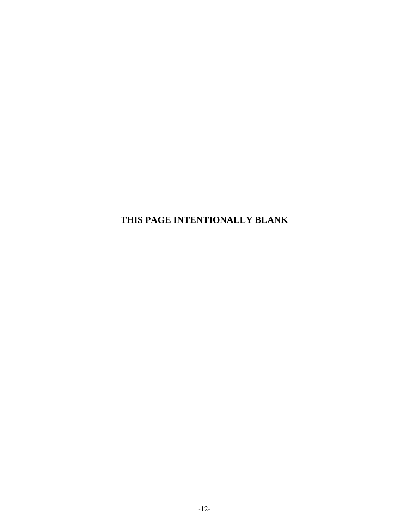**THIS PAGE INTENTIONALLY BLANK**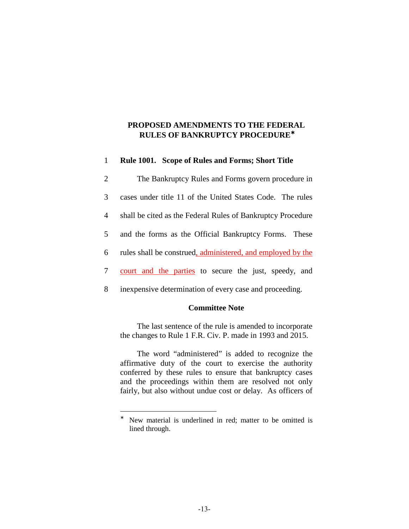#### <span id="page-12-0"></span>**PROPOSED AMENDMENTS TO THE FEDERAL RULES OF BANKRUPTCY PROCEDURE**\*

# 1 **Rule 1001. Scope of Rules and Forms; Short Title**

2 The Bankruptcy Rules and Forms govern procedure in

3 cases under title 11 of the United States Code. The rules

- 4 shall be cited as the Federal Rules of Bankruptcy Procedure
- 5 and the forms as the Official Bankruptcy Forms. These
- 6 rules shall be construed, administered, and employed by the
- 7 court and the parties to secure the just, speedy, and
- 8 inexpensive determination of every case and proceeding.

#### **Committee Note**

The last sentence of the rule is amended to incorporate the changes to Rule 1 F.R. Civ. P. made in 1993 and 2015.

The word "administered" is added to recognize the affirmative duty of the court to exercise the authority conferred by these rules to ensure that bankruptcy cases and the proceedings within them are resolved not only fairly, but also without undue cost or delay. As officers of

 $\overline{a}$ 

New material is underlined in red; matter to be omitted is lined through.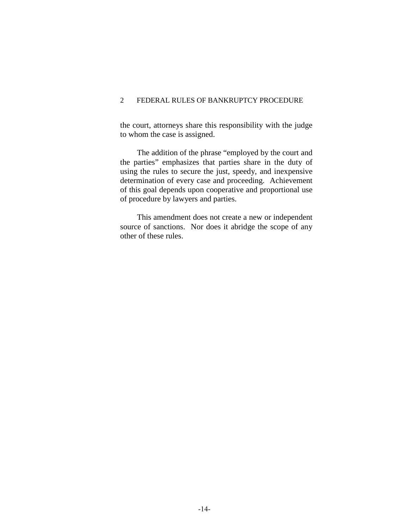#### 2 FEDERAL RULES OF BANKRUPTCY PROCEDURE

the court, attorneys share this responsibility with the judge to whom the case is assigned.

The addition of the phrase "employed by the court and the parties" emphasizes that parties share in the duty of using the rules to secure the just, speedy, and inexpensive determination of every case and proceeding. Achievement of this goal depends upon cooperative and proportional use of procedure by lawyers and parties.

This amendment does not create a new or independent source of sanctions. Nor does it abridge the scope of any other of these rules.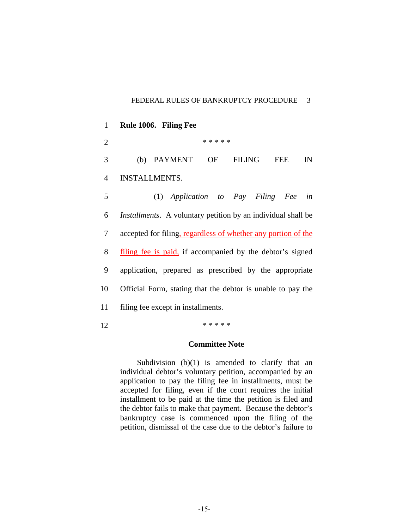#### FEDERAL RULES OF BANKRUPTCY PROCEDURE 3

<span id="page-14-0"></span>

| $\mathbf{1}$   | Rule 1006. Filing Fee                                               |
|----------------|---------------------------------------------------------------------|
| $\overline{2}$ | * * * * *                                                           |
| 3              | (b) PAYMENT OF<br><b>FILING</b><br>IN<br>FEE                        |
| 4              | <b>INSTALLMENTS.</b>                                                |
| 5              | $(1)$ Application to Pay Filing Fee in                              |
| 6              | <i>Installments.</i> A voluntary petition by an individual shall be |
| 7              | accepted for filing, regardless of whether any portion of the       |
| 8              | filing fee is paid, if accompanied by the debtor's signed           |
| 9              | application, prepared as prescribed by the appropriate              |
| 10             | Official Form, stating that the debtor is unable to pay the         |
| 11             | filing fee except in installments.                                  |
| 12             | * * * * *                                                           |

#### **Committee Note**

Subdivision  $(b)(1)$  is amended to clarify that an individual debtor's voluntary petition, accompanied by an application to pay the filing fee in installments, must be accepted for filing, even if the court requires the initial installment to be paid at the time the petition is filed and the debtor fails to make that payment. Because the debtor's bankruptcy case is commenced upon the filing of the petition, dismissal of the case due to the debtor's failure to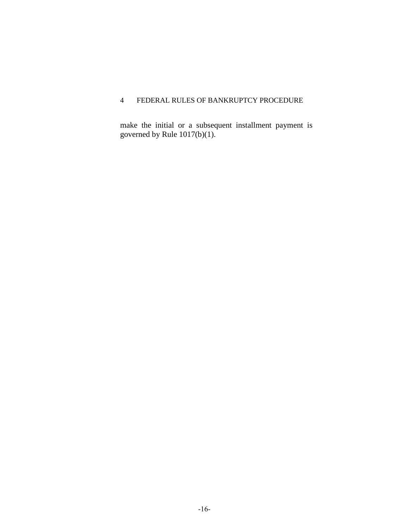## 4 FEDERAL RULES OF BANKRUPTCY PROCEDURE

make the initial or a subsequent installment payment is governed by Rule 1017(b)(1).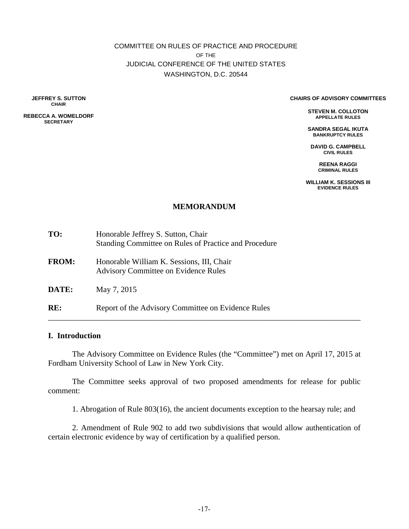COMMITTEE ON RULES OF PRACTICE AND PROCEDURE OF THE JUDICIAL CONFERENCE OF THE UNITED STATES WASHINGTON, D.C. 20544

**CHAIRS OF ADVISORY COMMITTEES**

**STEVEN M. COLLOTON APPELLATE RULES**

**SANDRA SEGAL IKUTA BANKRUPTCY RULES**

**DAVID G. CAMPBELL CIVIL RULES**

> **REENA RAGGI CRIMINAL RULES**

**WILLIAM K. SESSIONS III EVIDENCE RULES**

#### **MEMORANDUM**

**TO:** Honorable Jeffrey S. Sutton, Chair Standing Committee on Rules of Practice and Procedure

- **FROM:** Honorable William K. Sessions, III, Chair Advisory Committee on Evidence Rules
- **DATE:** May 7, 2015

**RE:** Report of the Advisory Committee on Evidence Rules

#### **I. Introduction**

The Advisory Committee on Evidence Rules (the "Committee") met on April 17, 2015 at Fordham University School of Law in New York City.

\_\_\_\_\_\_\_\_\_\_\_\_\_\_\_\_\_\_\_\_\_\_\_\_\_\_\_\_\_\_\_\_\_\_\_\_\_\_\_\_\_\_\_\_\_\_\_\_\_\_\_\_\_\_\_\_\_\_\_\_\_\_\_\_\_\_\_\_\_\_\_\_\_\_\_\_\_\_

The Committee seeks approval of two proposed amendments for release for public comment:

1. Abrogation of Rule 803(16), the ancient documents exception to the hearsay rule; and

2. Amendment of Rule 902 to add two subdivisions that would allow authentication of certain electronic evidence by way of certification by a qualified person.

<span id="page-16-0"></span>**JEFFREY S. SUTTON CHAIR**

**REBECCA A. WOMELDORF SECRETARY**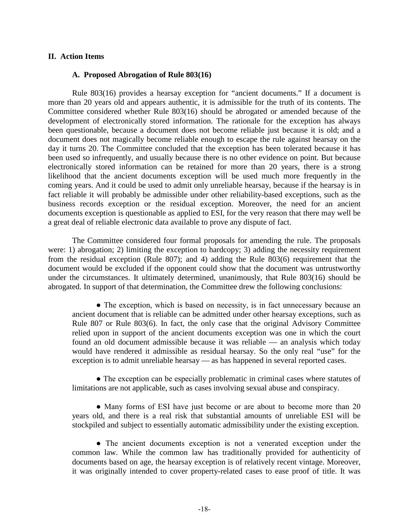#### **II. Action Items**

#### **A. Proposed Abrogation of Rule 803(16)**

Rule 803(16) provides a hearsay exception for "ancient documents." If a document is more than 20 years old and appears authentic, it is admissible for the truth of its contents. The Committee considered whether Rule 803(16) should be abrogated or amended because of the development of electronically stored information. The rationale for the exception has always been questionable, because a document does not become reliable just because it is old; and a document does not magically become reliable enough to escape the rule against hearsay on the day it turns 20. The Committee concluded that the exception has been tolerated because it has been used so infrequently, and usually because there is no other evidence on point. But because electronically stored information can be retained for more than 20 years, there is a strong likelihood that the ancient documents exception will be used much more frequently in the coming years. And it could be used to admit only unreliable hearsay, because if the hearsay is in fact reliable it will probably be admissible under other reliability-based exceptions, such as the business records exception or the residual exception. Moreover, the need for an ancient documents exception is questionable as applied to ESI, for the very reason that there may well be a great deal of reliable electronic data available to prove any dispute of fact.

The Committee considered four formal proposals for amending the rule. The proposals were: 1) abrogation; 2) limiting the exception to hardcopy; 3) adding the necessity requirement from the residual exception (Rule 807); and 4) adding the Rule 803(6) requirement that the document would be excluded if the opponent could show that the document was untrustworthy under the circumstances. It ultimately determined, unanimously, that Rule 803(16) should be abrogated. In support of that determination, the Committee drew the following conclusions:

• The exception, which is based on necessity, is in fact unnecessary because an ancient document that is reliable can be admitted under other hearsay exceptions, such as Rule 807 or Rule 803(6). In fact, the only case that the original Advisory Committee relied upon in support of the ancient documents exception was one in which the court found an old document admissible because it was reliable — an analysis which today would have rendered it admissible as residual hearsay. So the only real "use" for the exception is to admit unreliable hearsay — as has happened in several reported cases.

• The exception can be especially problematic in criminal cases where statutes of limitations are not applicable, such as cases involving sexual abuse and conspiracy.

• Many forms of ESI have just become or are about to become more than 20 years old, and there is a real risk that substantial amounts of unreliable ESI will be stockpiled and subject to essentially automatic admissibility under the existing exception.

• The ancient documents exception is not a venerated exception under the common law. While the common law has traditionally provided for authenticity of documents based on age, the hearsay exception is of relatively recent vintage. Moreover, it was originally intended to cover property-related cases to ease proof of title. It was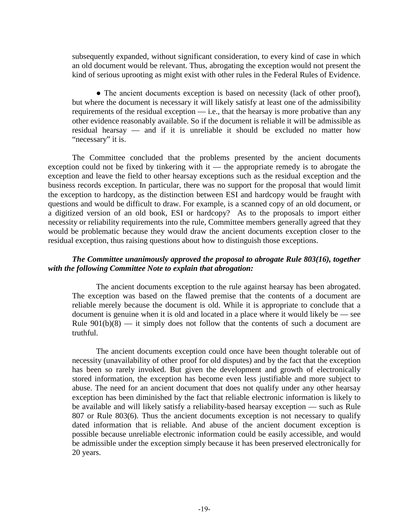subsequently expanded, without significant consideration, to every kind of case in which an old document would be relevant. Thus, abrogating the exception would not present the kind of serious uprooting as might exist with other rules in the Federal Rules of Evidence.

• The ancient documents exception is based on necessity (lack of other proof), but where the document is necessary it will likely satisfy at least one of the admissibility requirements of the residual exception  $\frac{d}{dx}$  i.e., that the hearsay is more probative than any other evidence reasonably available. So if the document is reliable it will be admissible as residual hearsay — and if it is unreliable it should be excluded no matter how "necessary" it is.

The Committee concluded that the problems presented by the ancient documents exception could not be fixed by tinkering with it — the appropriate remedy is to abrogate the exception and leave the field to other hearsay exceptions such as the residual exception and the business records exception. In particular, there was no support for the proposal that would limit the exception to hardcopy, as the distinction between ESI and hardcopy would be fraught with questions and would be difficult to draw. For example, is a scanned copy of an old document, or a digitized version of an old book, ESI or hardcopy? As to the proposals to import either necessity or reliability requirements into the rule, Committee members generally agreed that they would be problematic because they would draw the ancient documents exception closer to the residual exception, thus raising questions about how to distinguish those exceptions.

### *The Committee unanimously approved the proposal to abrogate Rule 803(16), together with the following Committee Note to explain that abrogation:*

The ancient documents exception to the rule against hearsay has been abrogated. The exception was based on the flawed premise that the contents of a document are reliable merely because the document is old. While it is appropriate to conclude that a document is genuine when it is old and located in a place where it would likely be — see Rule  $901(b)(8)$  — it simply does not follow that the contents of such a document are truthful.

The ancient documents exception could once have been thought tolerable out of necessity (unavailability of other proof for old disputes) and by the fact that the exception has been so rarely invoked. But given the development and growth of electronically stored information, the exception has become even less justifiable and more subject to abuse. The need for an ancient document that does not qualify under any other hearsay exception has been diminished by the fact that reliable electronic information is likely to be available and will likely satisfy a reliability-based hearsay exception — such as Rule 807 or Rule 803(6). Thus the ancient documents exception is not necessary to qualify dated information that is reliable. And abuse of the ancient document exception is possible because unreliable electronic information could be easily accessible, and would be admissible under the exception simply because it has been preserved electronically for 20 years.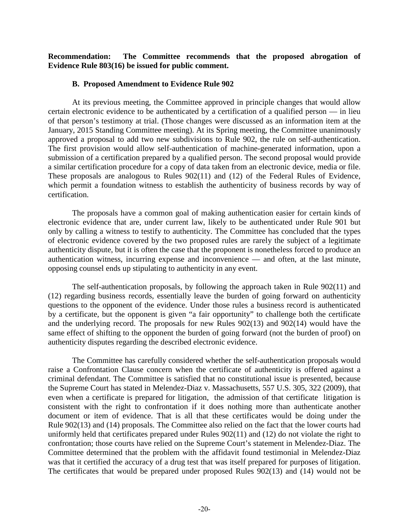**Recommendation: The Committee recommends that the proposed abrogation of Evidence Rule 803(16) be issued for public comment.**

#### **B. Proposed Amendment to Evidence Rule 902**

At its previous meeting, the Committee approved in principle changes that would allow certain electronic evidence to be authenticated by a certification of a qualified person — in lieu of that person's testimony at trial. (Those changes were discussed as an information item at the January, 2015 Standing Committee meeting). At its Spring meeting, the Committee unanimously approved a proposal to add two new subdivisions to Rule 902, the rule on self-authentication. The first provision would allow self-authentication of machine-generated information, upon a submission of a certification prepared by a qualified person. The second proposal would provide a similar certification procedure for a copy of data taken from an electronic device, media or file. These proposals are analogous to Rules 902(11) and (12) of the Federal Rules of Evidence, which permit a foundation witness to establish the authenticity of business records by way of certification.

The proposals have a common goal of making authentication easier for certain kinds of electronic evidence that are, under current law, likely to be authenticated under Rule 901 but only by calling a witness to testify to authenticity. The Committee has concluded that the types of electronic evidence covered by the two proposed rules are rarely the subject of a legitimate authenticity dispute, but it is often the case that the proponent is nonetheless forced to produce an authentication witness, incurring expense and inconvenience — and often, at the last minute, opposing counsel ends up stipulating to authenticity in any event.

The self-authentication proposals, by following the approach taken in Rule 902(11) and (12) regarding business records, essentially leave the burden of going forward on authenticity questions to the opponent of the evidence. Under those rules a business record is authenticated by a certificate, but the opponent is given "a fair opportunity" to challenge both the certificate and the underlying record. The proposals for new Rules 902(13) and 902(14) would have the same effect of shifting to the opponent the burden of going forward (not the burden of proof) on authenticity disputes regarding the described electronic evidence.

The Committee has carefully considered whether the self-authentication proposals would raise a Confrontation Clause concern when the certificate of authenticity is offered against a criminal defendant. The Committee is satisfied that no constitutional issue is presented, because the Supreme Court has stated in Melendez-Diaz v. Massachusetts, 557 U.S. 305, 322 (2009), that even when a certificate is prepared for litigation, the admission of that certificate litigation is consistent with the right to confrontation if it does nothing more than authenticate another document or item of evidence. That is all that these certificates would be doing under the Rule 902(13) and (14) proposals. The Committee also relied on the fact that the lower courts had uniformly held that certificates prepared under Rules 902(11) and (12) do not violate the right to confrontation; those courts have relied on the Supreme Court's statement in Melendez-Diaz. The Committee determined that the problem with the affidavit found testimonial in Melendez-Diaz was that it certified the accuracy of a drug test that was itself prepared for purposes of litigation. The certificates that would be prepared under proposed Rules 902(13) and (14) would not be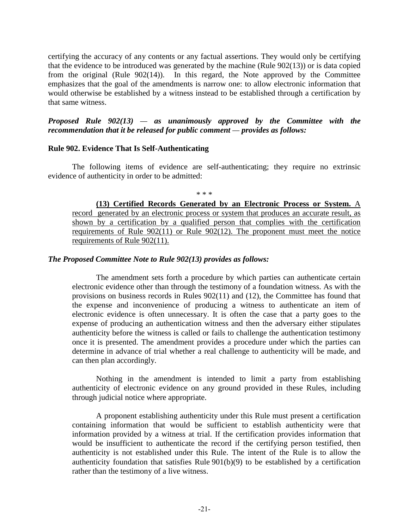certifying the accuracy of any contents or any factual assertions. They would only be certifying that the evidence to be introduced was generated by the machine (Rule 902(13)) or is data copied from the original (Rule  $902(14)$ ). In this regard, the Note approved by the Committee emphasizes that the goal of the amendments is narrow one: to allow electronic information that would otherwise be established by a witness instead to be established through a certification by that same witness.

## *Proposed Rule 902(13) — as unanimously approved by the Committee with the recommendation that it be released for public comment — provides as follows:*

### **Rule 902. Evidence That Is Self-Authenticating**

The following items of evidence are self-authenticating; they require no extrinsic evidence of authenticity in order to be admitted:

\* \* \*

**(13) Certified Records Generated by an Electronic Process or System.** A record generated by an electronic process or system that produces an accurate result, as shown by a certification by a qualified person that complies with the certification requirements of Rule 902(11) or Rule 902(12). The proponent must meet the notice requirements of Rule 902(11).

#### *The Proposed Committee Note to Rule 902(13) provides as follows:*

The amendment sets forth a procedure by which parties can authenticate certain electronic evidence other than through the testimony of a foundation witness. As with the provisions on business records in Rules 902(11) and (12), the Committee has found that the expense and inconvenience of producing a witness to authenticate an item of electronic evidence is often unnecessary. It is often the case that a party goes to the expense of producing an authentication witness and then the adversary either stipulates authenticity before the witness is called or fails to challenge the authentication testimony once it is presented. The amendment provides a procedure under which the parties can determine in advance of trial whether a real challenge to authenticity will be made, and can then plan accordingly.

Nothing in the amendment is intended to limit a party from establishing authenticity of electronic evidence on any ground provided in these Rules, including through judicial notice where appropriate.

A proponent establishing authenticity under this Rule must present a certification containing information that would be sufficient to establish authenticity were that information provided by a witness at trial. If the certification provides information that would be insufficient to authenticate the record if the certifying person testified, then authenticity is not established under this Rule. The intent of the Rule is to allow the authenticity foundation that satisfies Rule 901(b)(9) to be established by a certification rather than the testimony of a live witness.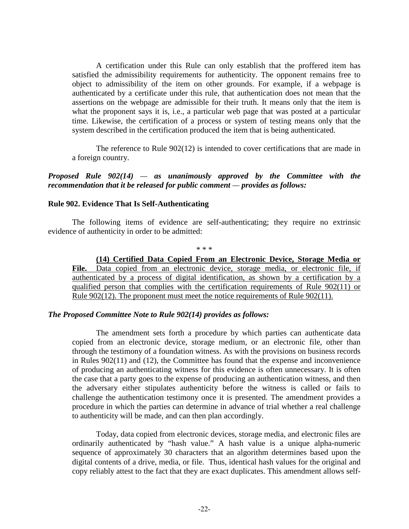A certification under this Rule can only establish that the proffered item has satisfied the admissibility requirements for authenticity. The opponent remains free to object to admissibility of the item on other grounds. For example, if a webpage is authenticated by a certificate under this rule, that authentication does not mean that the assertions on the webpage are admissible for their truth. It means only that the item is what the proponent says it is, i.e., a particular web page that was posted at a particular time. Likewise, the certification of a process or system of testing means only that the system described in the certification produced the item that is being authenticated.

The reference to Rule 902(12) is intended to cover certifications that are made in a foreign country.

## *Proposed Rule 902(14) — as unanimously approved by the Committee with the recommendation that it be released for public comment — provides as follows:*

#### **Rule 902. Evidence That Is Self-Authenticating**

The following items of evidence are self-authenticating; they require no extrinsic evidence of authenticity in order to be admitted:

\* \* \*

**(14) Certified Data Copied From an Electronic Device, Storage Media or File.** Data copied from an electronic device, storage media, or electronic file, if authenticated by a process of digital identification, as shown by a certification by a qualified person that complies with the certification requirements of Rule 902(11) or Rule 902(12). The proponent must meet the notice requirements of Rule 902(11).

#### *The Proposed Committee Note to Rule 902(14) provides as follows:*

The amendment sets forth a procedure by which parties can authenticate data copied from an electronic device, storage medium, or an electronic file, other than through the testimony of a foundation witness. As with the provisions on business records in Rules 902(11) and (12), the Committee has found that the expense and inconvenience of producing an authenticating witness for this evidence is often unnecessary. It is often the case that a party goes to the expense of producing an authentication witness, and then the adversary either stipulates authenticity before the witness is called or fails to challenge the authentication testimony once it is presented. The amendment provides a procedure in which the parties can determine in advance of trial whether a real challenge to authenticity will be made, and can then plan accordingly.

Today, data copied from electronic devices, storage media, and electronic files are ordinarily authenticated by "hash value." A hash value is a unique alpha-numeric sequence of approximately 30 characters that an algorithm determines based upon the digital contents of a drive, media, or file. Thus, identical hash values for the original and copy reliably attest to the fact that they are exact duplicates. This amendment allows self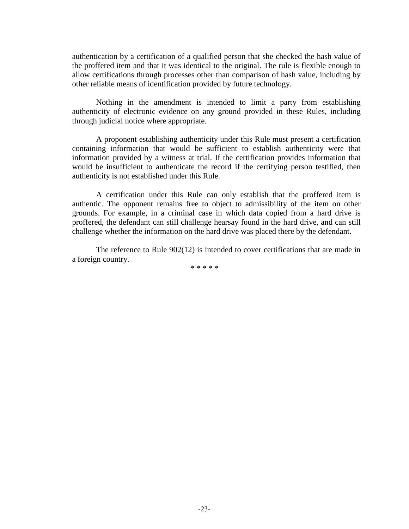authentication by a certification of a qualified person that she checked the hash value of the proffered item and that it was identical to the original. The rule is flexible enough to allow certifications through processes other than comparison of hash value, including by other reliable means of identification provided by future technology.

Nothing in the amendment is intended to limit a party from establishing authenticity of electronic evidence on any ground provided in these Rules, including through judicial notice where appropriate.

A proponent establishing authenticity under this Rule must present a certification containing information that would be sufficient to establish authenticity were that information provided by a witness at trial. If the certification provides information that would be insufficient to authenticate the record if the certifying person testified, then authenticity is not established under this Rule.

A certification under this Rule can only establish that the proffered item is authentic. The opponent remains free to object to admissibility of the item on other grounds. For example, in a criminal case in which data copied from a hard drive is proffered, the defendant can still challenge hearsay found in the hard drive, and can still challenge whether the information on the hard drive was placed there by the defendant.

The reference to Rule 902(12) is intended to cover certifications that are made in a foreign country.

\* \* \* \* \*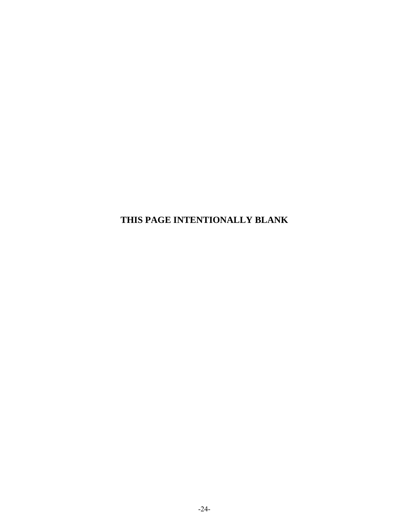**THIS PAGE INTENTIONALLY BLANK**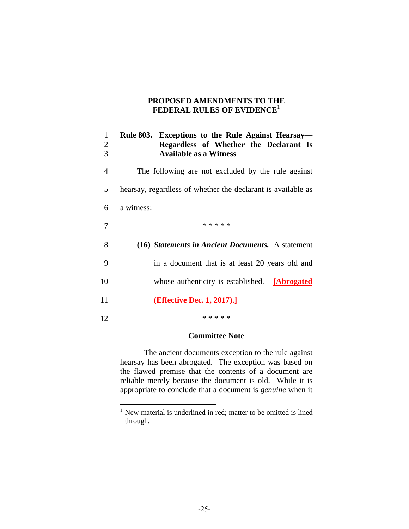### **PROPOSED AMENDMENTS TO THE FEDERAL RULES OF EVIDENCE**<sup>1</sup>

<span id="page-24-0"></span>

| 1<br>$\overline{2}$<br>3 | Rule 803. Exceptions to the Rule Against Hearsay—<br>Regardless of Whether the Declarant Is<br><b>Available as a Witness</b> |
|--------------------------|------------------------------------------------------------------------------------------------------------------------------|
| 4                        | The following are not excluded by the rule against                                                                           |
| 5                        | hearsay, regardless of whether the declarant is available as                                                                 |
| 6                        | a witness:                                                                                                                   |
| 7                        | * * * * *                                                                                                                    |
| 8                        | (16) Statements in Ancient Documents. A statement                                                                            |
| 9                        | in a document that is at least 20 years old and                                                                              |
| 10                       | whose authenticity is established. [Abrogated]                                                                               |
| 11                       | <b>(Effective Dec. 1, 2017).]</b>                                                                                            |
| 12                       | * * * * *                                                                                                                    |

## **Committee Note**

The ancient documents exception to the rule against hearsay has been abrogated. The exception was based on the flawed premise that the contents of a document are reliable merely because the document is old. While it is appropriate to conclude that a document is *genuine* when it

<sup>&</sup>lt;sup>1</sup> New material is underlined in red; matter to be omitted is lined through.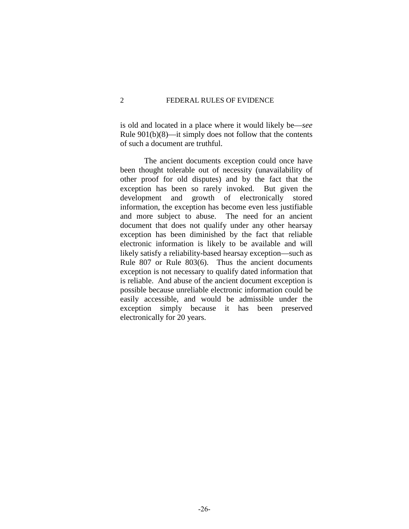is old and located in a place where it would likely be—*see*  Rule 901(b)(8)—it simply does not follow that the contents of such a document are truthful.

The ancient documents exception could once have been thought tolerable out of necessity (unavailability of other proof for old disputes) and by the fact that the exception has been so rarely invoked. But given the development and growth of electronically stored information, the exception has become even less justifiable and more subject to abuse. The need for an ancient document that does not qualify under any other hearsay exception has been diminished by the fact that reliable electronic information is likely to be available and will likely satisfy a reliability-based hearsay exception—such as Rule 807 or Rule 803(6). Thus the ancient documents exception is not necessary to qualify dated information that is reliable. And abuse of the ancient document exception is possible because unreliable electronic information could be easily accessible, and would be admissible under the exception simply because it has been preserved electronically for 20 years.

-26-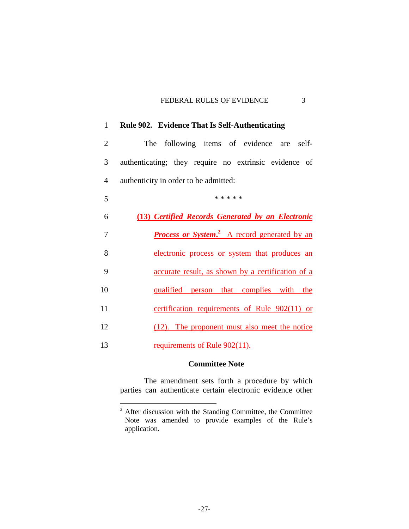<span id="page-26-0"></span>

| $\mathbf{1}$   | Rule 902. Evidence That Is Self-Authenticating        |
|----------------|-------------------------------------------------------|
| $\overline{2}$ | The following items of evidence are self-             |
| 3              | authenticating; they require no extrinsic evidence of |
| 4              | authenticity in order to be admitted:                 |
| 5              | * * * * *                                             |
| 6              | (13) Certified Records Generated by an Electronic     |
| 7              | <b>Process or System.</b> A record generated by an    |
| 8              | electronic process or system that produces an         |
| 9              | accurate result, as shown by a certification of a     |
| 10             | qualified person that complies with the               |
| 11             | certification requirements of Rule $902(11)$ or       |
| 12             | (12). The proponent must also meet the notice         |
| 13             | <u>requirements of Rule 902(11).</u>                  |

## **Committee Note**

The amendment sets forth a procedure by which parties can authenticate certain electronic evidence other

<sup>&</sup>lt;sup>2</sup> After discussion with the Standing Committee, the Committee Note was amended to provide examples of the Rule's application.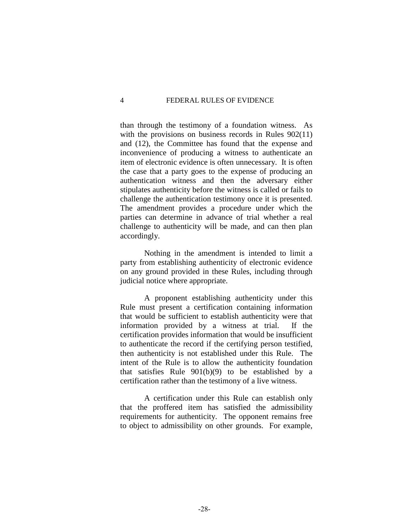than through the testimony of a foundation witness. As with the provisions on business records in Rules 902(11) and (12), the Committee has found that the expense and inconvenience of producing a witness to authenticate an item of electronic evidence is often unnecessary. It is often the case that a party goes to the expense of producing an authentication witness and then the adversary either stipulates authenticity before the witness is called or fails to challenge the authentication testimony once it is presented. The amendment provides a procedure under which the parties can determine in advance of trial whether a real challenge to authenticity will be made, and can then plan accordingly.

Nothing in the amendment is intended to limit a party from establishing authenticity of electronic evidence on any ground provided in these Rules, including through judicial notice where appropriate.

A proponent establishing authenticity under this Rule must present a certification containing information that would be sufficient to establish authenticity were that information provided by a witness at trial. If the certification provides information that would be insufficient to authenticate the record if the certifying person testified, then authenticity is not established under this Rule. The intent of the Rule is to allow the authenticity foundation that satisfies Rule  $901(b)(9)$  to be established by a certification rather than the testimony of a live witness.

A certification under this Rule can establish only that the proffered item has satisfied the admissibility requirements for authenticity. The opponent remains free to object to admissibility on other grounds. For example,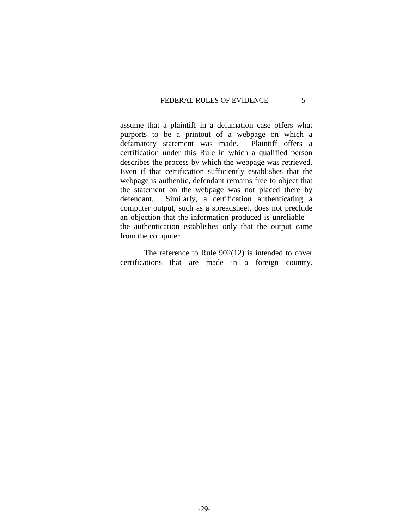assume that a plaintiff in a defamation case offers what purports to be a printout of a webpage on which a defamatory statement was made. Plaintiff offers a certification under this Rule in which a qualified person describes the process by which the webpage was retrieved. Even if that certification sufficiently establishes that the webpage is authentic, defendant remains free to object that the statement on the webpage was not placed there by defendant. Similarly, a certification authenticating a computer output, such as a spreadsheet, does not preclude an objection that the information produced is unreliable the authentication establishes only that the output came from the computer.

The reference to Rule 902(12) is intended to cover certifications that are made in a foreign country.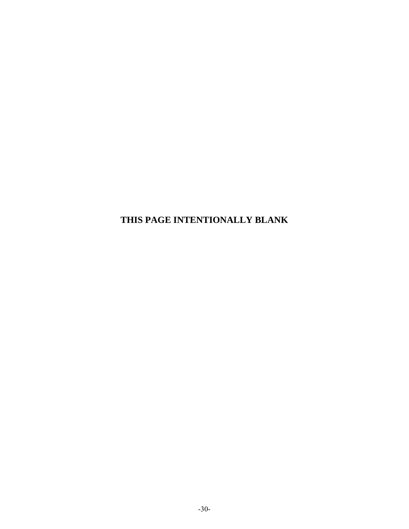**THIS PAGE INTENTIONALLY BLANK**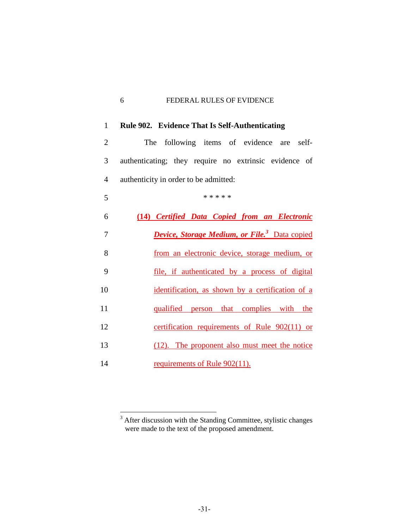# <span id="page-30-0"></span>1 **Rule 902. Evidence That Is Self-Authenticating** 2 The following items of evidence are self-3 authenticating; they require no extrinsic evidence of 4 authenticity in order to be admitted:  $5$  \* \* \* \* \* \* 6 **(14)** *Certified Data Copied from an Electronic <u>Device, Storage Medium, or File.</u> Data copied* 8 from an electronic device, storage medium, or 9 file, if authenticated by a process of digital 10 identification, as shown by a certification of a 11 qualified person that complies with the 12 certification requirements of Rule 902(11) or 13 (12). The proponent also must meet the notice 14 requirements of Rule 902(11).

6 FEDERAL RULES OF EVIDENCE

<sup>&</sup>lt;sup>3</sup> After discussion with the Standing Committee, stylistic changes were made to the text of the proposed amendment.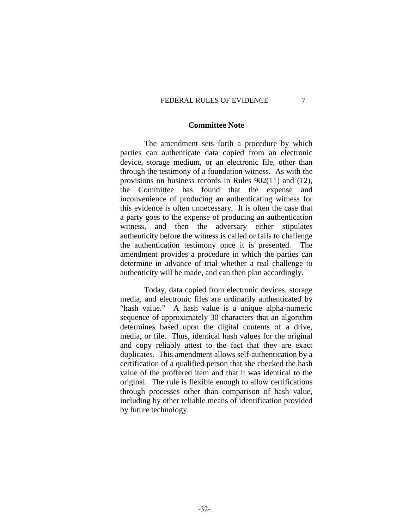#### **Committee Note**

The amendment sets forth a procedure by which parties can authenticate data copied from an electronic device, storage medium, or an electronic file, other than through the testimony of a foundation witness. As with the provisions on business records in Rules 902(11) and (12), the Committee has found that the expense and inconvenience of producing an authenticating witness for this evidence is often unnecessary. It is often the case that a party goes to the expense of producing an authentication witness, and then the adversary either stipulates authenticity before the witness is called or fails to challenge the authentication testimony once it is presented. The amendment provides a procedure in which the parties can determine in advance of trial whether a real challenge to authenticity will be made, and can then plan accordingly.

Today, data copied from electronic devices, storage media, and electronic files are ordinarily authenticated by "hash value." A hash value is a unique alpha-numeric sequence of approximately 30 characters that an algorithm determines based upon the digital contents of a drive, media, or file. Thus, identical hash values for the original and copy reliably attest to the fact that they are exact duplicates. This amendment allows self-authentication by a certification of a qualified person that she checked the hash value of the proffered item and that it was identical to the original. The rule is flexible enough to allow certifications through processes other than comparison of hash value, including by other reliable means of identification provided by future technology.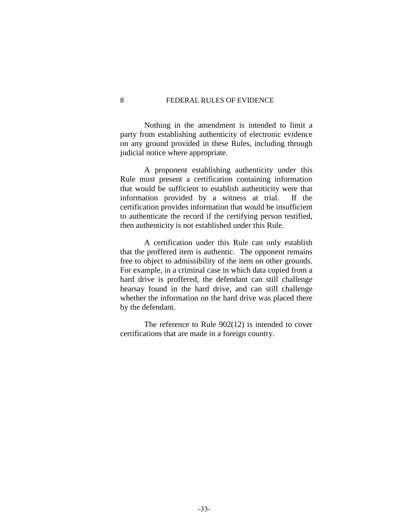Nothing in the amendment is intended to limit a party from establishing authenticity of electronic evidence on any ground provided in these Rules, including through judicial notice where appropriate.

A proponent establishing authenticity under this Rule must present a certification containing information that would be sufficient to establish authenticity were that information provided by a witness at trial. If the certification provides information that would be insufficient to authenticate the record if the certifying person testified, then authenticity is not established under this Rule.

A certification under this Rule can only establish that the proffered item is authentic. The opponent remains free to object to admissibility of the item on other grounds. For example, in a criminal case in which data copied from a hard drive is proffered, the defendant can still challenge hearsay found in the hard drive, and can still challenge whether the information on the hard drive was placed there by the defendant.

The reference to Rule 902(12) is intended to cover certifications that are made in a foreign country.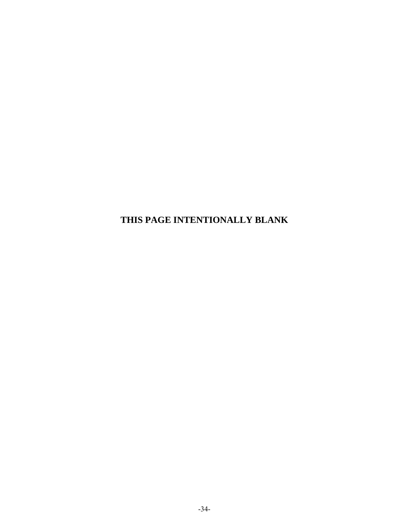**THIS PAGE INTENTIONALLY BLANK**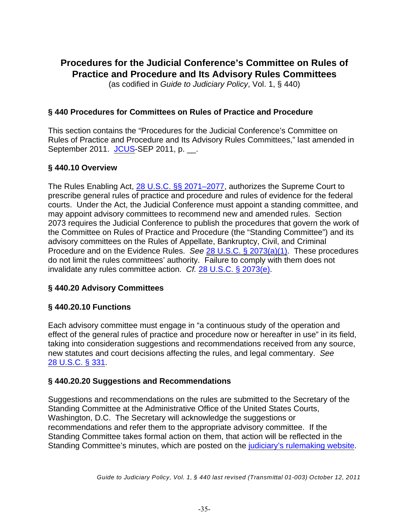# **Procedures for the Judicial Conference's Committee on Rules of Practice and Procedure and Its Advisory Rules Committees**

(as codified in *Guide to Judiciary Policy*, Vol. 1, § 440)

## **§ 440 Procedures for Committees on Rules of Practice and Procedure**

September 2011. JCUS-SEP 2011, p. \_\_. This section contains the "Procedures for the Judicial Conference's Committee on Rules of Practice and Procedure and Its Advisory Rules Committees," last amended in

## **§ 440.10 Overview**

The Rules Enabling Act, 28 U.S.C. §§ 2071–2077, authorizes the Supreme Court to prescribe general rules of practice and procedure and rules of evidence for the federal courts. Under the Act, the Judicial Conference must appoint a standing committee, and may appoint advisory committees to recommend new and amended rules. Section 2073 requires the Judicial Conference to publish the procedures that govern the work of the Committee on Rules of Practice and Procedure (the "Standing Committee") and its advisory committees on the Rules of Appellate, Bankruptcy, Civil, and Criminal Procedure and on the Evidence Rules. *See* 28 U.S.C. § 2073(a)(1). These procedures do not limit the rules committees' authority. Failure to comply with them does not invalidate any rules committee action. *Cf.* 28 U.S.C. § 2073(e).

## **§ 440.20 Advisory Committees**

## **§ 440.20.10 Functions**

Each advisory committee must engage in "a continuous study of the operation and effect of the general rules of practice and procedure now or hereafter in use" in its field, taking into consideration suggestions and recommendations received from any source, new statutes and court decisions affecting the rules, and legal commentary. *See*  28 U.S.C. § 331.

## **§ 440.20.20 Suggestions and Recommendations**

Suggestions and recommendations on the rules are submitted to the Secretary of the Standing Committee at the Administrative Office of the United States Courts, Washington, D.C. The Secretary will acknowledge the suggestions or recommendations and refer them to the appropriate advisory committee. If the Standing Committee takes formal action on them, that action will be reflected in the Standing Committee's minutes, which are posted on the judiciary's rulemaking website.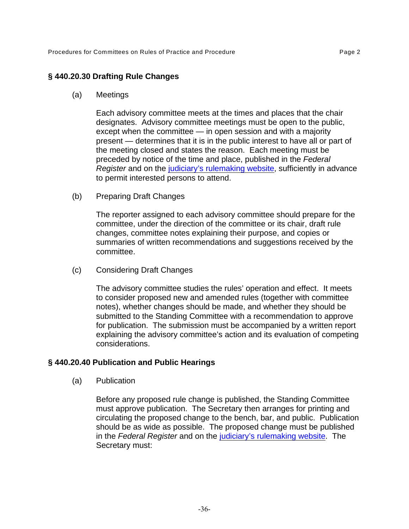## **§ 440.20.30 Drafting Rule Changes**

(a) Meetings

Each advisory committee meets at the times and places that the chair designates. Advisory committee meetings must be open to the public, except when the committee — in open session and with a majority present — determines that it is in the public interest to have all or part of the meeting closed and states the reason. Each meeting must be preceded by notice of the time and place, published in the *Federal Register* and on the judiciary's rulemaking website, sufficiently in advance to permit interested persons to attend.

(b) Preparing Draft Changes

The reporter assigned to each advisory committee should prepare for the committee, under the direction of the committee or its chair, draft rule changes, committee notes explaining their purpose, and copies or summaries of written recommendations and suggestions received by the committee.

(c) Considering Draft Changes

The advisory committee studies the rules' operation and effect. It meets to consider proposed new and amended rules (together with committee notes), whether changes should be made, and whether they should be submitted to the Standing Committee with a recommendation to approve for publication. The submission must be accompanied by a written report explaining the advisory committee's action and its evaluation of competing considerations.

## **§ 440.20.40 Publication and Public Hearings**

(a) Publication

Before any proposed rule change is published, the Standing Committee must approve publication. The Secretary then arranges for printing and circulating the proposed change to the bench, bar, and public. Publication should be as wide as possible. The proposed change must be published in the *Federal Register* and on the judiciary's rulemaking website. The Secretary must: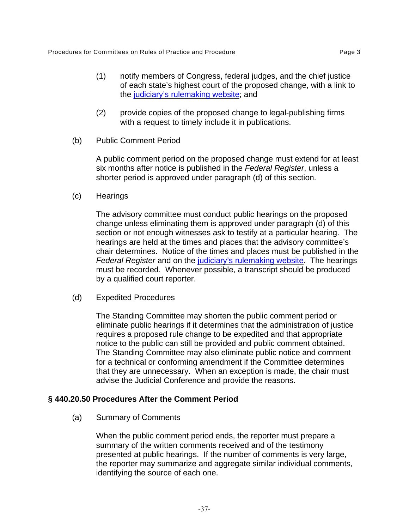- (1) notify members of Congress, federal judges, and the chief justice of each state's highest court of the proposed change, with a link to the judiciary's rulemaking website; and
- (2) provide copies of the proposed change to legal-publishing firms with a request to timely include it in publications.
- (b) Public Comment Period

A public comment period on the proposed change must extend for at least six months after notice is published in the *Federal Register*, unless a shorter period is approved under paragraph (d) of this section.

(c) Hearings

The advisory committee must conduct public hearings on the proposed change unless eliminating them is approved under paragraph (d) of this section or not enough witnesses ask to testify at a particular hearing. The hearings are held at the times and places that the advisory committee's chair determines. Notice of the times and places must be published in the *Federal Register* and on the judiciary's rulemaking website. The hearings must be recorded. Whenever possible, a transcript should be produced by a qualified court reporter.

(d) Expedited Procedures

The Standing Committee may shorten the public comment period or eliminate public hearings if it determines that the administration of justice requires a proposed rule change to be expedited and that appropriate notice to the public can still be provided and public comment obtained. The Standing Committee may also eliminate public notice and comment for a technical or conforming amendment if the Committee determines that they are unnecessary. When an exception is made, the chair must advise the Judicial Conference and provide the reasons.

## **§ 440.20.50 Procedures After the Comment Period**

(a) Summary of Comments

When the public comment period ends, the reporter must prepare a summary of the written comments received and of the testimony presented at public hearings. If the number of comments is very large, the reporter may summarize and aggregate similar individual comments, identifying the source of each one.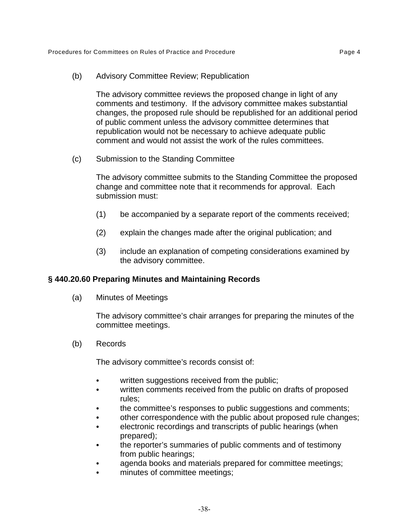(b) Advisory Committee Review; Republication

The advisory committee reviews the proposed change in light of any comments and testimony. If the advisory committee makes substantial changes, the proposed rule should be republished for an additional period of public comment unless the advisory committee determines that republication would not be necessary to achieve adequate public comment and would not assist the work of the rules committees.

(c) Submission to the Standing Committee

The advisory committee submits to the Standing Committee the proposed change and committee note that it recommends for approval. Each submission must:

- (1) be accompanied by a separate report of the comments received;
- (2) explain the changes made after the original publication; and
- (3) include an explanation of competing considerations examined by the advisory committee.

## **§ 440.20.60 Preparing Minutes and Maintaining Records**

(a) Minutes of Meetings

The advisory committee's chair arranges for preparing the minutes of the committee meetings.

(b) Records

The advisory committee's records consist of:

- written suggestions received from the public;
- written comments received from the public on drafts of proposed rules;
- the committee's responses to public suggestions and comments;
- other correspondence with the public about proposed rule changes;
- electronic recordings and transcripts of public hearings (when prepared);
- the reporter's summaries of public comments and of testimony from public hearings;
- agenda books and materials prepared for committee meetings;
- minutes of committee meetings;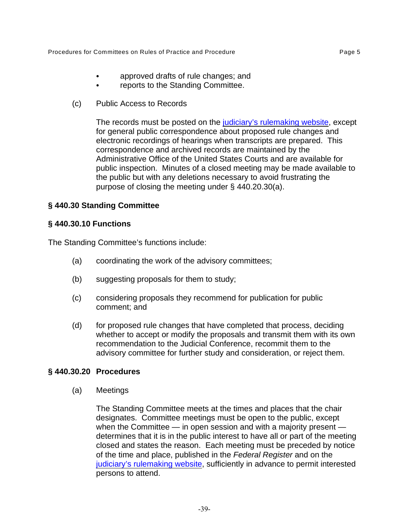- • approved drafts of rule changes; and
- reports to the Standing Committee.
- (c) Public Access to Records

The records must be posted on the judiciary's rulemaking website, except for general public correspondence about proposed rule changes and electronic recordings of hearings when transcripts are prepared. This correspondence and archived records are maintained by the Administrative Office of the United States Courts and are available for public inspection. Minutes of a closed meeting may be made available to the public but with any deletions necessary to avoid frustrating the purpose of closing the meeting under § 440.20.30(a).

# **§ 440.30 Standing Committee**

## **§ 440.30.10 Functions**

The Standing Committee's functions include:

- (a) coordinating the work of the advisory committees;
- (b) suggesting proposals for them to study;
- (c) considering proposals they recommend for publication for public comment; and
- (d) for proposed rule changes that have completed that process, deciding whether to accept or modify the proposals and transmit them with its own recommendation to the Judicial Conference, recommit them to the advisory committee for further study and consideration, or reject them.

# **§ 440.30.20 Procedures**

(a) Meetings

The Standing Committee meets at the times and places that the chair designates. Committee meetings must be open to the public, except when the Committee — in open session and with a majority present determines that it is in the public interest to have all or part of the meeting closed and states the reason. Each meeting must be preceded by notice of the time and place, published in the *Federal Register* and on the judiciary's rulemaking website, sufficiently in advance to permit interested persons to attend.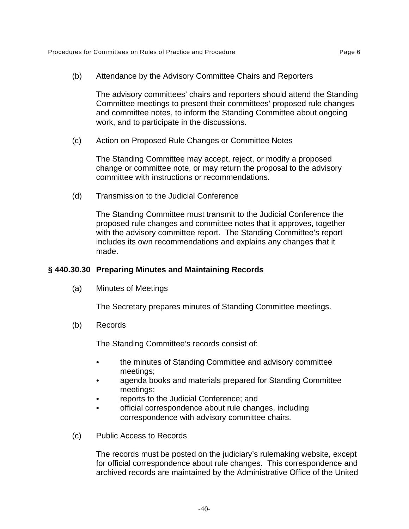(b) Attendance by the Advisory Committee Chairs and Reporters

The advisory committees' chairs and reporters should attend the Standing Committee meetings to present their committees' proposed rule changes and committee notes, to inform the Standing Committee about ongoing work, and to participate in the discussions.

(c) Action on Proposed Rule Changes or Committee Notes

The Standing Committee may accept, reject, or modify a proposed change or committee note, or may return the proposal to the advisory committee with instructions or recommendations.

(d) Transmission to the Judicial Conference

The Standing Committee must transmit to the Judicial Conference the proposed rule changes and committee notes that it approves, together with the advisory committee report. The Standing Committee's report includes its own recommendations and explains any changes that it made.

## **§ 440.30.30 Preparing Minutes and Maintaining Records**

(a) Minutes of Meetings

The Secretary prepares minutes of Standing Committee meetings.

(b) Records

The Standing Committee's records consist of:

- the minutes of Standing Committee and advisory committee meetings;
- agenda books and materials prepared for Standing Committee meetings;
- reports to the Judicial Conference; and
- official correspondence about rule changes, including correspondence with advisory committee chairs.
- (c) Public Access to Records

The records must be posted on the judiciary's rulemaking website, except for official correspondence about rule changes. This correspondence and archived records are maintained by the Administrative Office of the United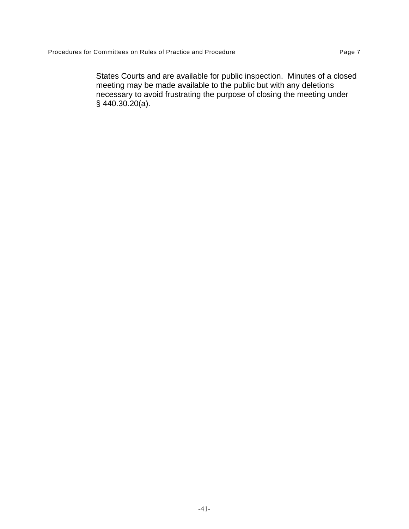States Courts and are available for public inspection. Minutes of a closed meeting may be made available to the public but with any deletions necessary to avoid frustrating the purpose of closing the meeting under § 440.30.20(a).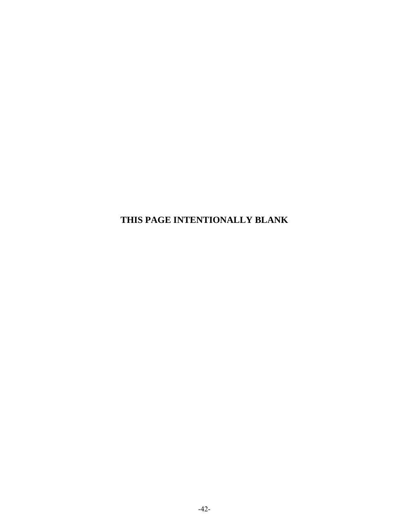**THIS PAGE INTENTIONALLY BLANK**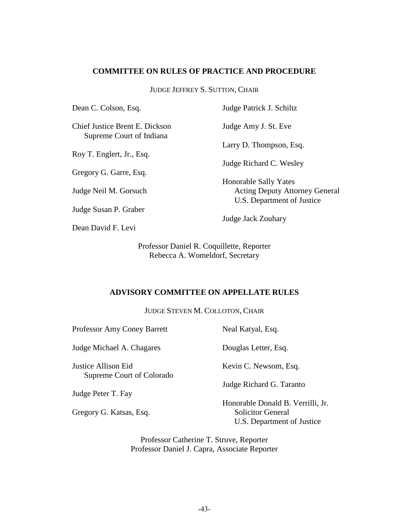#### **COMMITTEE ON RULES OF PRACTICE AND PROCEDURE**

#### JUDGE JEFFREY S. SUTTON, CHAIR

Dean C. Colson, Esq. Chief Justice Brent E. Dickson Supreme Court of Indiana Roy T. Englert, Jr., Esq. Gregory G. Garre, Esq. Judge Neil M. Gorsuch Judge Susan P. Graber Dean David F. Levi Judge Patrick J. Schiltz Judge Amy J. St. Eve Larry D. Thompson, Esq. Judge Richard C. Wesley Honorable Sally Yates Acting Deputy Attorney General U.S. Department of Justice Judge Jack Zouhary

> Professor Daniel R. Coquillette, Reporter Rebecca A. Womeldorf, Secretary

#### **ADVISORY COMMITTEE ON APPELLATE RULES**

#### JUDGE STEVEN M. COLLOTON, CHAIR

Professor Amy Coney Barrett

Judge Michael A. Chagares

Justice Allison Eid Supreme Court of Colorado

Judge Peter T. Fay

Gregory G. Katsas, Esq.

Neal Katyal, Esq.

Douglas Letter, Esq.

Kevin C. Newsom, Esq.

Judge Richard G. Taranto

Honorable Donald B. Verrilli, Jr. Solicitor General U.S. Department of Justice

Professor Catherine T. Struve, Reporter Professor Daniel J. Capra, Associate Reporter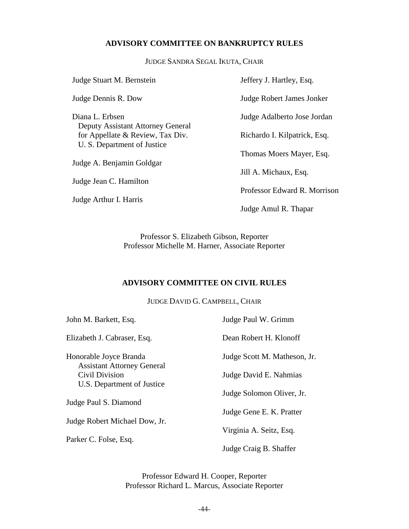## **ADVISORY COMMITTEE ON BANKRUPTCY RULES**

JUDGE SANDRA SEGAL IKUTA, CHAIR

| Judge Stuart M. Bernstein                                                                            | Jeffery J. Hartley, Esq.     |
|------------------------------------------------------------------------------------------------------|------------------------------|
| Judge Dennis R. Dow                                                                                  | Judge Robert James Jonker    |
| Diana L. Erbsen                                                                                      | Judge Adalberto Jose Jordan  |
| Deputy Assistant Attorney General<br>for Appellate & Review, Tax Div.<br>U. S. Department of Justice | Richardo I. Kilpatrick, Esq. |
|                                                                                                      | Thomas Moers Mayer, Esq.     |
| Judge A. Benjamin Goldgar                                                                            | Jill A. Michaux, Esq.        |
| Judge Jean C. Hamilton                                                                               |                              |
| Judge Arthur I. Harris                                                                               | Professor Edward R. Morrison |
|                                                                                                      | Judge Amul R. Thapar         |

Professor S. Elizabeth Gibson, Reporter Professor Michelle M. Harner, Associate Reporter

### **ADVISORY COMMITTEE ON CIVIL RULES**

### JUDGE DAVID G. CAMPBELL, CHAIR

| John M. Barkett, Esq.                                       | Judge Paul W. Grimm          |
|-------------------------------------------------------------|------------------------------|
| Elizabeth J. Cabraser, Esq.                                 | Dean Robert H. Klonoff       |
| Honorable Joyce Branda<br><b>Assistant Attorney General</b> | Judge Scott M. Matheson, Jr. |
| Civil Division<br>U.S. Department of Justice                | Judge David E. Nahmias       |
|                                                             | Judge Solomon Oliver, Jr.    |
| Judge Paul S. Diamond<br>Judge Robert Michael Dow, Jr.      | Judge Gene E. K. Pratter     |
|                                                             | Virginia A. Seitz, Esq.      |
| Parker C. Folse, Esq.                                       | Judge Craig B. Shaffer       |

Professor Edward H. Cooper, Reporter Professor Richard L. Marcus, Associate Reporter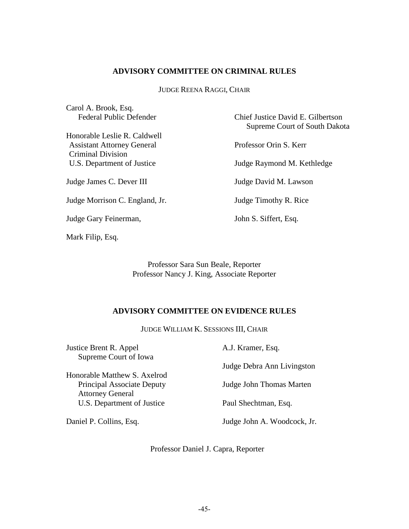#### **ADVISORY COMMITTEE ON CRIMINAL RULES**

JUDGE REENA RAGGI, CHAIR

Carol A. Brook, Esq. Federal Public Defender

Honorable Leslie R. Caldwell Assistant Attorney General Criminal Division U.S. Department of Justice

Judge James C. Dever III

Judge Morrison C. England, Jr.

Judge Gary Feinerman,

Mark Filip, Esq.

Chief Justice David E. Gilbertson Supreme Court of South Dakota

Professor Orin S. Kerr

Judge Raymond M. Kethledge

Judge David M. Lawson

Judge Timothy R. Rice

John S. Siffert, Esq.

Professor Sara Sun Beale, Reporter Professor Nancy J. King, Associate Reporter

#### **ADVISORY COMMITTEE ON EVIDENCE RULES**

JUDGE WILLIAM K. SESSIONS III, CHAIR

| Justice Brent R. Appel            | A.J. Kramer, Esq.           |
|-----------------------------------|-----------------------------|
| Supreme Court of Iowa             |                             |
|                                   | Judge Debra Ann Livingston  |
| Honorable Matthew S. Axelrod      |                             |
| <b>Principal Associate Deputy</b> | Judge John Thomas Marten    |
| <b>Attorney General</b>           |                             |
| U.S. Department of Justice        | Paul Shechtman, Esq.        |
|                                   |                             |
| Daniel P. Collins, Esq.           | Judge John A. Woodcock, Jr. |

Professor Daniel J. Capra, Reporter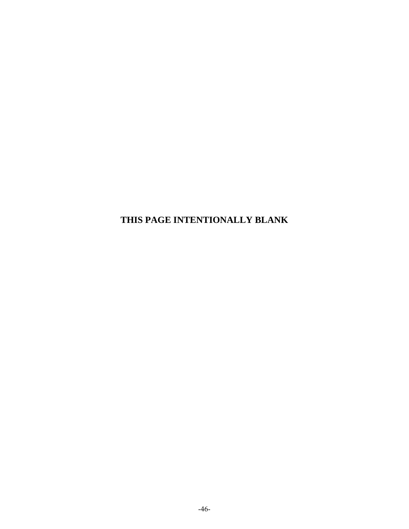**THIS PAGE INTENTIONALLY BLANK**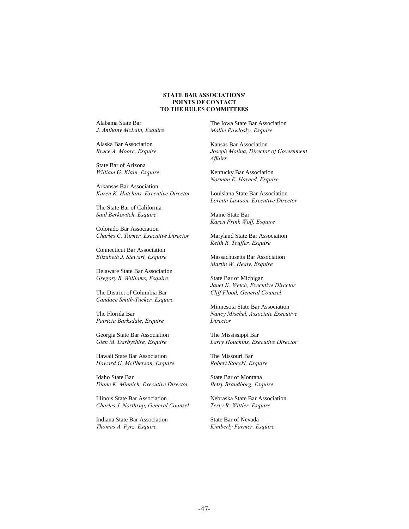#### **STATE BAR ASSOCIATIONS' POINTS OF CONTACT TO THE RULES COMMITTEES**

Alabama State Bar *J. Anthony McLain, Esquire*

Alaska Bar Association *Bruce A. Moore, Esquire* 

State Bar of Arizona *William G. Klain, Esquire*

Arkansas Bar Association *Karen K. Hutchins, Executive Director*

The State Bar of California *Saul Berkovitch, Esquire*

Colorado Bar Association *Charles C. Turner, Executive Director*

Connecticut Bar Association *Elizabeth J. Stewart, Esquire*

Delaware State Bar Association *Gregory B. Williams, Esquire* 

The District of Columbia Bar *Candace Smith-Tucker, Esquire*

The Florida Bar *Patricia Barksdale*, *Esquire*

Georgia State Bar Association *Glen M. Darbyshire, Esquire*

Hawaii State Bar Association *Howard G. McPherson, Esquire*

Idaho State Bar *Diane K. Minnich, Executive Director*

Illinois State Bar Association *Charles J. Northrup, General Counsel*

Indiana State Bar Association *Thomas A. Pyrz, Esquire*

The Iowa State Bar Association *Mollie Pawlosky, Esquire*

Kansas Bar Association *Joseph Molina, Director of Government Affairs*

Kentucky Bar Association *Norman E. Harned, Esquire*

Louisiana State Bar Association *Loretta Lawson, Executive Director*

Maine State Bar *Karen Frink Wolf, Esquire*

Maryland State Bar Association *Keith R. Truffer, Esquire*

Massachusetts Bar Association *Martin W. Healy, Esquire*

State Bar of Michigan *Janet K. Welch, Executive Director Cliff Flood, General Counsel*

Minnesota State Bar Association *Nancy Mischel, Associate Executive Director*

The Mississippi Bar *Larry Houchins, Executive Director*

The Missouri Bar *Robert Stoeckl, Esquire*

State Bar of Montana *Betsy Brandborg, Esquire*

Nebraska State Bar Association *Terry R. Wittler, Esquire*

State Bar of Nevada *Kimberly Farmer, Esquire*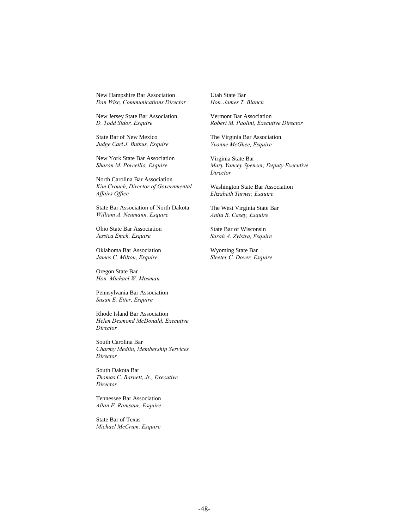New Hampshire Bar Association *Dan Wise, Communications Director*

New Jersey State Bar Association *D. Todd Sidor, Esquire*

State Bar of New Mexico *Judge Carl J. Butkus, Esquire*

New York State Bar Association *Sharon M. Porcellio, Esquire*

North Carolina Bar Association *Kim Crouch, Director of Governmental Affairs Office*

State Bar Association of North Dakota *William A. Neumann, Esquire*

Ohio State Bar Association *Jessica Emch, Esquire*

Oklahoma Bar Association *James C. Milton, Esquire*

Oregon State Bar *Hon. Michael W. Mosman*

Pennsylvania Bar Association *Susan E. Etter, Esquire*

Rhode Island Bar Association *Helen Desmond McDonald, Executive Director*

South Carolina Bar *Charmy Medlin, Membership Services Director*

South Dakota Bar *Thomas C. Barnett, Jr., Executive Director*

Tennessee Bar Association *Allan F. Ramsaur, Esquire*

State Bar of Texas *Michael McCrum, Esquire* Utah State Bar *Hon. James T. Blanch*

Vermont Bar Association *Robert M. Paolini, Executive Director*

The Virginia Bar Association *Yvonne McGhee, Esquire*

Virginia State Bar *Mary Yancey Spencer, Deputy Executive Director*

Washington State Bar Association *Elizabeth Turner, Esquire*

The West Virginia State Bar *Anita R. Casey, Esquire*

State Bar of Wisconsin *Sarah A. Zylstra, Esquire*

Wyoming State Bar *Sleeter C. Dover, Esquire*